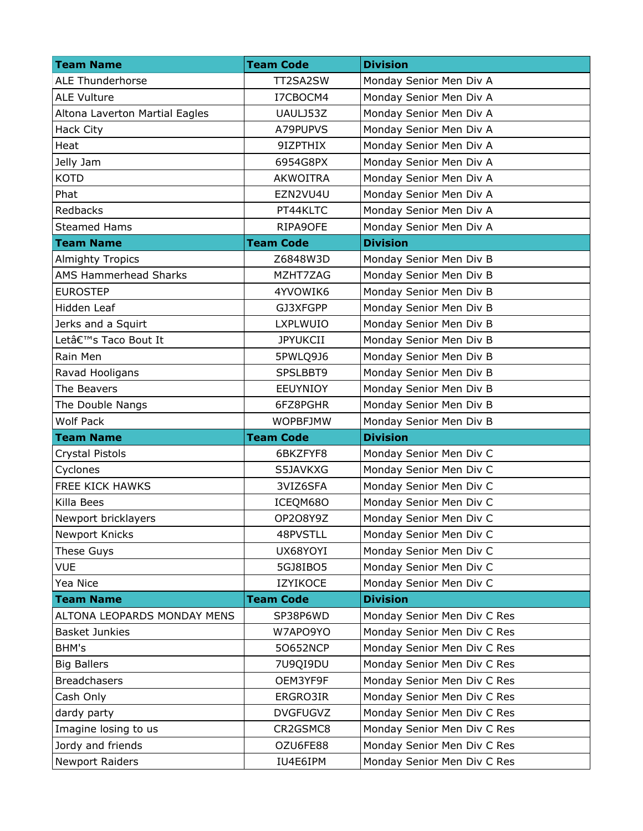| <b>Team Name</b>               | <b>Team Code</b> | <b>Division</b>             |
|--------------------------------|------------------|-----------------------------|
| <b>ALE Thunderhorse</b>        | TT2SA2SW         | Monday Senior Men Div A     |
| <b>ALE Vulture</b>             | I7CBOCM4         | Monday Senior Men Div A     |
| Altona Laverton Martial Eagles | UAULJ53Z         | Monday Senior Men Div A     |
| Hack City                      | A79PUPVS         | Monday Senior Men Div A     |
| Heat                           | 9IZPTHIX         | Monday Senior Men Div A     |
| Jelly Jam                      | 6954G8PX         | Monday Senior Men Div A     |
| <b>KOTD</b>                    | <b>AKWOITRA</b>  | Monday Senior Men Div A     |
| Phat                           | EZN2VU4U         | Monday Senior Men Div A     |
| Redbacks                       | PT44KLTC         | Monday Senior Men Div A     |
| <b>Steamed Hams</b>            | RIPA9OFE         | Monday Senior Men Div A     |
| <b>Team Name</b>               | <b>Team Code</b> | <b>Division</b>             |
| <b>Almighty Tropics</b>        | Z6848W3D         | Monday Senior Men Div B     |
| <b>AMS Hammerhead Sharks</b>   | MZHT7ZAG         | Monday Senior Men Div B     |
| <b>EUROSTEP</b>                | 4YVOWIK6         | Monday Senior Men Div B     |
| Hidden Leaf                    | GJ3XFGPP         | Monday Senior Men Div B     |
| Jerks and a Squirt             | <b>LXPLWUIO</b>  | Monday Senior Men Div B     |
| Let's Taco Bout It             | <b>JPYUKCII</b>  | Monday Senior Men Div B     |
| Rain Men                       | 5PWLQ9J6         | Monday Senior Men Div B     |
| Ravad Hooligans                | SPSLBBT9         | Monday Senior Men Div B     |
| The Beavers                    | <b>EEUYNIOY</b>  | Monday Senior Men Div B     |
| The Double Nangs               | 6FZ8PGHR         | Monday Senior Men Div B     |
| <b>Wolf Pack</b>               | <b>WOPBFJMW</b>  | Monday Senior Men Div B     |
| <b>Team Name</b>               | <b>Team Code</b> | <b>Division</b>             |
| Crystal Pistols                | 6BKZFYF8         | Monday Senior Men Div C     |
| Cyclones                       | S5JAVKXG         | Monday Senior Men Div C     |
| FREE KICK HAWKS                | 3VIZ6SFA         | Monday Senior Men Div C     |
| Killa Bees                     | ICEQM680         | Monday Senior Men Div C     |
| Newport bricklayers            | OP2O8Y9Z         | Monday Senior Men Div C     |
| Newport Knicks                 | 48PVSTLL         | Monday Senior Men Div C     |
| These Guys                     | UX68YOYI         | Monday Senior Men Div C     |
| <b>VUE</b>                     | 5GJ8IB05         | Monday Senior Men Div C     |
| Yea Nice                       | <b>IZYIKOCE</b>  | Monday Senior Men Div C     |
| <b>Team Name</b>               | <b>Team Code</b> | <b>Division</b>             |
| ALTONA LEOPARDS MONDAY MENS    | SP38P6WD         | Monday Senior Men Div C Res |
| <b>Basket Junkies</b>          | W7APO9YO         | Monday Senior Men Div C Res |
| BHM's                          | 50652NCP         | Monday Senior Men Div C Res |
| <b>Big Ballers</b>             | 7U9QI9DU         | Monday Senior Men Div C Res |
| <b>Breadchasers</b>            | OEM3YF9F         | Monday Senior Men Div C Res |
| Cash Only                      | ERGRO3IR         | Monday Senior Men Div C Res |
| dardy party                    | <b>DVGFUGVZ</b>  | Monday Senior Men Div C Res |
| Imagine losing to us           | CR2GSMC8         | Monday Senior Men Div C Res |
| Jordy and friends              | OZU6FE88         | Monday Senior Men Div C Res |
| Newport Raiders                | IU4E6IPM         | Monday Senior Men Div C Res |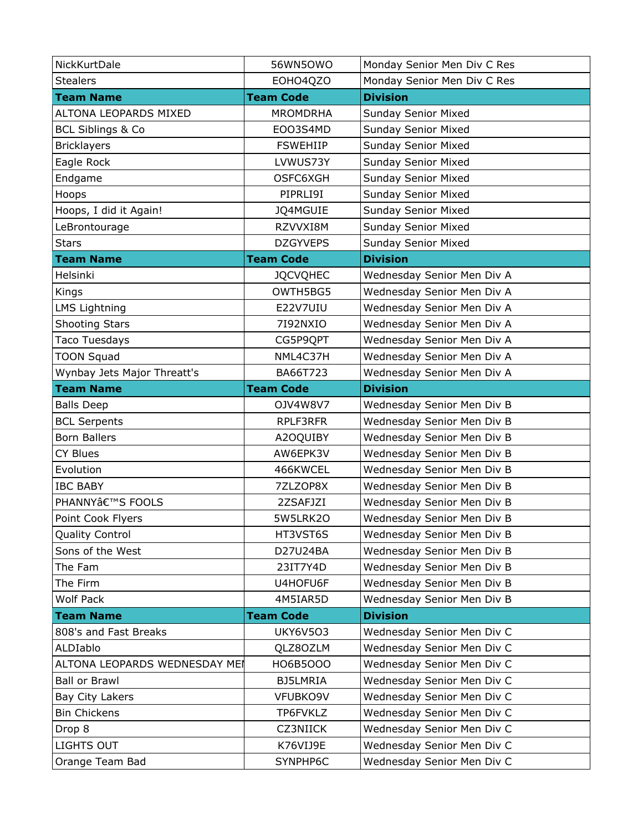| NickKurtDale                  | 56WN5OWO         | Monday Senior Men Div C Res |
|-------------------------------|------------------|-----------------------------|
| <b>Stealers</b>               | EOHO4QZO         | Monday Senior Men Div C Res |
| <b>Team Name</b>              | <b>Team Code</b> | <b>Division</b>             |
| ALTONA LEOPARDS MIXED         | <b>MROMDRHA</b>  | <b>Sunday Senior Mixed</b>  |
| <b>BCL Siblings &amp; Co</b>  | EOO3S4MD         | <b>Sunday Senior Mixed</b>  |
| <b>Bricklayers</b>            | <b>FSWEHIIP</b>  | <b>Sunday Senior Mixed</b>  |
| Eagle Rock                    | LVWUS73Y         | Sunday Senior Mixed         |
| Endgame                       | OSFC6XGH         | <b>Sunday Senior Mixed</b>  |
| Hoops                         | PIPRLI9I         | <b>Sunday Senior Mixed</b>  |
| Hoops, I did it Again!        | JQ4MGUIE         | <b>Sunday Senior Mixed</b>  |
| LeBrontourage                 | RZVVXI8M         | <b>Sunday Senior Mixed</b>  |
| <b>Stars</b>                  | <b>DZGYVEPS</b>  | <b>Sunday Senior Mixed</b>  |
| <b>Team Name</b>              | <b>Team Code</b> | <b>Division</b>             |
| Helsinki                      | <b>JQCVQHEC</b>  | Wednesday Senior Men Div A  |
| Kings                         | OWTH5BG5         | Wednesday Senior Men Div A  |
| <b>LMS Lightning</b>          | E22V7UIU         | Wednesday Senior Men Div A  |
| <b>Shooting Stars</b>         | 7192NXIO         | Wednesday Senior Men Div A  |
| <b>Taco Tuesdays</b>          | CG5P9QPT         | Wednesday Senior Men Div A  |
| <b>TOON Squad</b>             | NML4C37H         | Wednesday Senior Men Div A  |
| Wynbay Jets Major Threatt's   | BA66T723         | Wednesday Senior Men Div A  |
| <b>Team Name</b>              | <b>Team Code</b> | <b>Division</b>             |
| <b>Balls Deep</b>             | OJV4W8V7         | Wednesday Senior Men Div B  |
| <b>BCL Serpents</b>           | RPLF3RFR         | Wednesday Senior Men Div B  |
| <b>Born Ballers</b>           | A2OQUIBY         | Wednesday Senior Men Div B  |
| <b>CY Blues</b>               | AW6EPK3V         | Wednesday Senior Men Div B  |
| Evolution                     | 466KWCEL         | Wednesday Senior Men Div B  |
| <b>IBC BABY</b>               | 7ZLZOP8X         | Wednesday Senior Men Div B  |
| PHANNY'S FOOLS                | 2ZSAFJZI         | Wednesday Senior Men Div B  |
| Point Cook Flyers             | 5W5LRK2O         | Wednesday Senior Men Div B  |
| <b>Quality Control</b>        | HT3VST6S         |                             |
| Sons of the West              |                  | Wednesday Senior Men Div B  |
|                               | D27U24BA         | Wednesday Senior Men Div B  |
| The Fam                       | 23IT7Y4D         | Wednesday Senior Men Div B  |
| The Firm                      | U4HOFU6F         | Wednesday Senior Men Div B  |
| Wolf Pack                     | 4M5IAR5D         | Wednesday Senior Men Div B  |
| <b>Team Name</b>              | <b>Team Code</b> | <b>Division</b>             |
| 808's and Fast Breaks         | <b>UKY6V503</b>  | Wednesday Senior Men Div C  |
| ALDIablo                      | QLZ8OZLM         | Wednesday Senior Men Div C  |
| ALTONA LEOPARDS WEDNESDAY MEI | H06B5000         | Wednesday Senior Men Div C  |
| <b>Ball or Brawl</b>          | BJ5LMRIA         | Wednesday Senior Men Div C  |
| Bay City Lakers               | VFUBKO9V         | Wednesday Senior Men Div C  |
| <b>Bin Chickens</b>           | TP6FVKLZ         | Wednesday Senior Men Div C  |
| Drop 8                        | <b>CZ3NIICK</b>  | Wednesday Senior Men Div C  |
| LIGHTS OUT                    | K76VIJ9E         | Wednesday Senior Men Div C  |